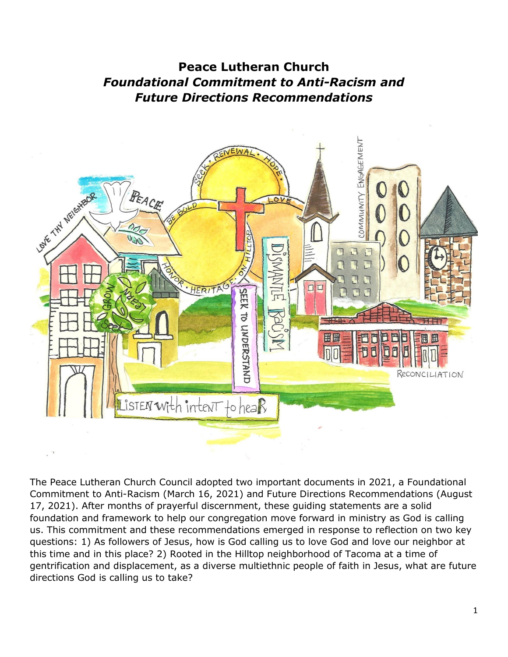# **Peace Lutheran Church** *Foundational Commitment to Anti-Racism and Future Directions Recommendations*



The Peace Lutheran Church Council adopted two important documents in 2021, a Foundational Commitment to Anti-Racism (March 16, 2021) and Future Directions Recommendations (August 17, 2021). After months of prayerful discernment, these guiding statements are a solid foundation and framework to help our congregation move forward in ministry as God is calling us. This commitment and these recommendations emerged in response to reflection on two key questions: 1) As followers of Jesus, how is God calling us to love God and love our neighbor at this time and in this place? 2) Rooted in the Hilltop neighborhood of Tacoma at a time of gentrification and displacement, as a diverse multiethnic people of faith in Jesus, what are future directions God is calling us to take?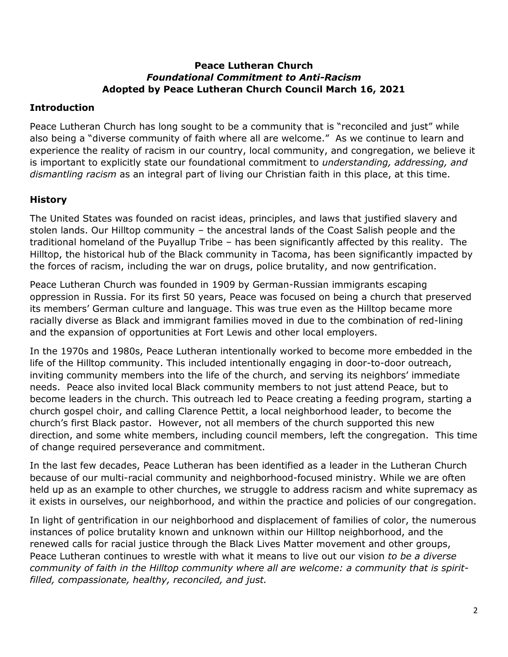#### **Peace Lutheran Church** *Foundational Commitment to Anti-Racism* **Adopted by Peace Lutheran Church Council March 16, 2021**

## **Introduction**

Peace Lutheran Church has long sought to be a community that is "reconciled and just" while also being a "diverse community of faith where all are welcome." As we continue to learn and experience the reality of racism in our country, local community, and congregation, we believe it is important to explicitly state our foundational commitment to *understanding, addressing, and dismantling racism* as an integral part of living our Christian faith in this place, at this time.

## **History**

The United States was founded on racist ideas, principles, and laws that justified slavery and stolen lands. Our Hilltop community – the ancestral lands of the Coast Salish people and the traditional homeland of the Puyallup Tribe – has been significantly affected by this reality. The Hilltop, the historical hub of the Black community in Tacoma, has been significantly impacted by the forces of racism, including the war on drugs, police brutality, and now gentrification.

Peace Lutheran Church was founded in 1909 by German-Russian immigrants escaping oppression in Russia. For its first 50 years, Peace was focused on being a church that preserved its members' German culture and language. This was true even as the Hilltop became more racially diverse as Black and immigrant families moved in due to the combination of red-lining and the expansion of opportunities at Fort Lewis and other local employers.

In the 1970s and 1980s, Peace Lutheran intentionally worked to become more embedded in the life of the Hilltop community. This included intentionally engaging in door-to-door outreach, inviting community members into the life of the church, and serving its neighbors' immediate needs. Peace also invited local Black community members to not just attend Peace, but to become leaders in the church. This outreach led to Peace creating a feeding program, starting a church gospel choir, and calling Clarence Pettit, a local neighborhood leader, to become the church's first Black pastor. However, not all members of the church supported this new direction, and some white members, including council members, left the congregation. This time of change required perseverance and commitment.

In the last few decades, Peace Lutheran has been identified as a leader in the Lutheran Church because of our multi-racial community and neighborhood-focused ministry. While we are often held up as an example to other churches, we struggle to address racism and white supremacy as it exists in ourselves, our neighborhood, and within the practice and policies of our congregation.

In light of gentrification in our neighborhood and displacement of families of color, the numerous instances of police brutality known and unknown within our Hilltop neighborhood, and the renewed calls for racial justice through the Black Lives Matter movement and other groups, Peace Lutheran continues to wrestle with what it means to live out our vision *to be a diverse community of faith in the Hilltop community where all are welcome: a community that is spiritfilled, compassionate, healthy, reconciled, and just.*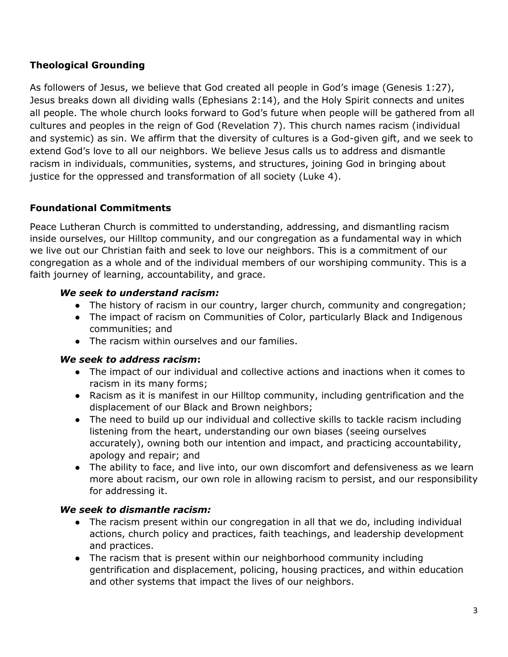## **Theological Grounding**

As followers of Jesus, we believe that God created all people in God's image (Genesis 1:27), Jesus breaks down all dividing walls (Ephesians 2:14), and the Holy Spirit connects and unites all people. The whole church looks forward to God's future when people will be gathered from all cultures and peoples in the reign of God (Revelation 7). This church names racism (individual and systemic) as sin. We affirm that the diversity of cultures is a God-given gift, and we seek to extend God's love to all our neighbors. We believe Jesus calls us to address and dismantle racism in individuals, communities, systems, and structures, joining God in bringing about justice for the oppressed and transformation of all society (Luke 4).

## **Foundational Commitments**

Peace Lutheran Church is committed to understanding, addressing, and dismantling racism inside ourselves, our Hilltop community, and our congregation as a fundamental way in which we live out our Christian faith and seek to love our neighbors. This is a commitment of our congregation as a whole and of the individual members of our worshiping community. This is a faith journey of learning, accountability, and grace.

### *We seek to understand racism:*

- The history of racism in our country, larger church, community and congregation;
- The impact of racism on Communities of Color, particularly Black and Indigenous communities; and
- The racism within ourselves and our families.

### *We seek to address racism***:**

- The impact of our individual and collective actions and inactions when it comes to racism in its many forms;
- Racism as it is manifest in our Hilltop community, including gentrification and the displacement of our Black and Brown neighbors;
- The need to build up our individual and collective skills to tackle racism including listening from the heart, understanding our own biases (seeing ourselves accurately), owning both our intention and impact, and practicing accountability, apology and repair; and
- The ability to face, and live into, our own discomfort and defensiveness as we learn more about racism, our own role in allowing racism to persist, and our responsibility for addressing it.

### *We seek to dismantle racism:*

- The racism present within our congregation in all that we do, including individual actions, church policy and practices, faith teachings, and leadership development and practices.
- The racism that is present within our neighborhood community including gentrification and displacement, policing, housing practices, and within education and other systems that impact the lives of our neighbors.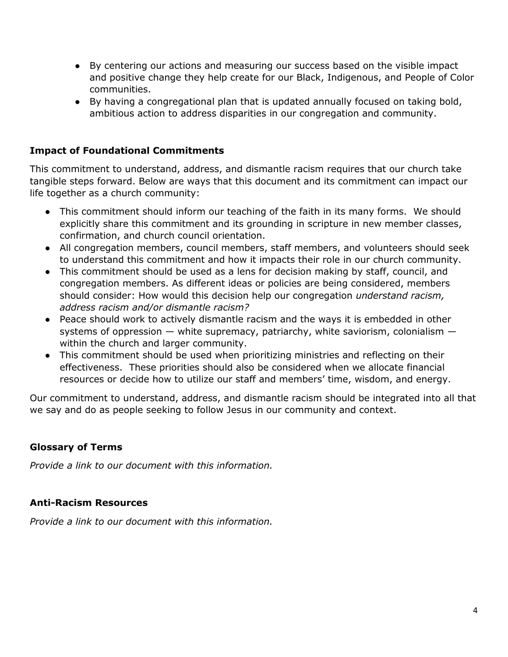- By centering our actions and measuring our success based on the visible impact and positive change they help create for our Black, Indigenous, and People of Color communities.
- By having a congregational plan that is updated annually focused on taking bold, ambitious action to address disparities in our congregation and community.

## **Impact of Foundational Commitments**

This commitment to understand, address, and dismantle racism requires that our church take tangible steps forward. Below are ways that this document and its commitment can impact our life together as a church community:

- This commitment should inform our teaching of the faith in its many forms. We should explicitly share this commitment and its grounding in scripture in new member classes, confirmation, and church council orientation.
- All congregation members, council members, staff members, and volunteers should seek to understand this commitment and how it impacts their role in our church community.
- This commitment should be used as a lens for decision making by staff, council, and congregation members. As different ideas or policies are being considered, members should consider: How would this decision help our congregation *understand racism, address racism and/or dismantle racism?*
- Peace should work to actively dismantle racism and the ways it is embedded in other systems of oppression  $-$  white supremacy, patriarchy, white saviorism, colonialism  $$ within the church and larger community.
- This commitment should be used when prioritizing ministries and reflecting on their effectiveness. These priorities should also be considered when we allocate financial resources or decide how to utilize our staff and members' time, wisdom, and energy.

Our commitment to understand, address, and dismantle racism should be integrated into all that we say and do as people seeking to follow Jesus in our community and context.

## **Glossary of Terms**

*Provide a link to our document with this information.*

### **Anti-Racism Resources**

*Provide a link to our document with this information.*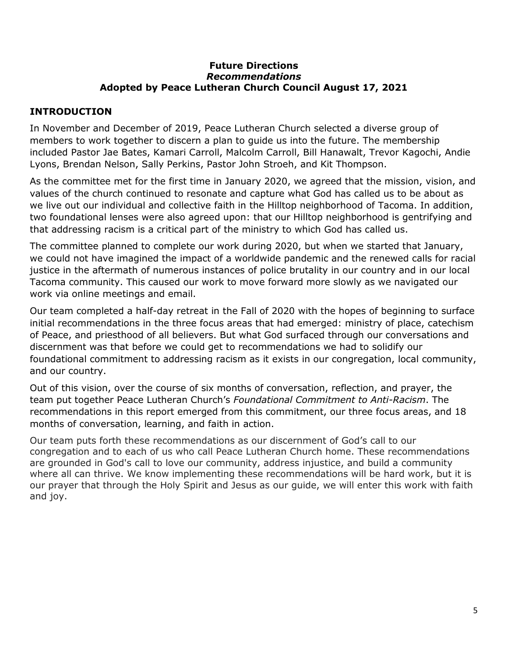#### **Future Directions** *Recommendations* **Adopted by Peace Lutheran Church Council August 17, 2021**

## **INTRODUCTION**

In November and December of 2019, Peace Lutheran Church selected a diverse group of members to work together to discern a plan to guide us into the future. The membership included Pastor Jae Bates, Kamari Carroll, Malcolm Carroll, Bill Hanawalt, Trevor Kagochi, Andie Lyons, Brendan Nelson, Sally Perkins, Pastor John Stroeh, and Kit Thompson.

As the committee met for the first time in January 2020, we agreed that the mission, vision, and values of the church continued to resonate and capture what God has called us to be about as we live out our individual and collective faith in the Hilltop neighborhood of Tacoma. In addition, two foundational lenses were also agreed upon: that our Hilltop neighborhood is gentrifying and that addressing racism is a critical part of the ministry to which God has called us.

The committee planned to complete our work during 2020, but when we started that January, we could not have imagined the impact of a worldwide pandemic and the renewed calls for racial justice in the aftermath of numerous instances of police brutality in our country and in our local Tacoma community. This caused our work to move forward more slowly as we navigated our work via online meetings and email.

Our team completed a half-day retreat in the Fall of 2020 with the hopes of beginning to surface initial recommendations in the three focus areas that had emerged: ministry of place, catechism of Peace, and priesthood of all believers. But what God surfaced through our conversations and discernment was that before we could get to recommendations we had to solidify our foundational commitment to addressing racism as it exists in our congregation, local community, and our country.

Out of this vision, over the course of six months of conversation, reflection, and prayer, the team put together Peace Lutheran Church's *Foundational Commitment to Anti-Racism*. The recommendations in this report emerged from this commitment, our three focus areas, and 18 months of conversation, learning, and faith in action.

Our team puts forth these recommendations as our discernment of God's call to our congregation and to each of us who call Peace Lutheran Church home. These recommendations are grounded in God's call to love our community, address injustice, and build a community where all can thrive. We know implementing these recommendations will be hard work, but it is our prayer that through the Holy Spirit and Jesus as our guide, we will enter this work with faith and joy.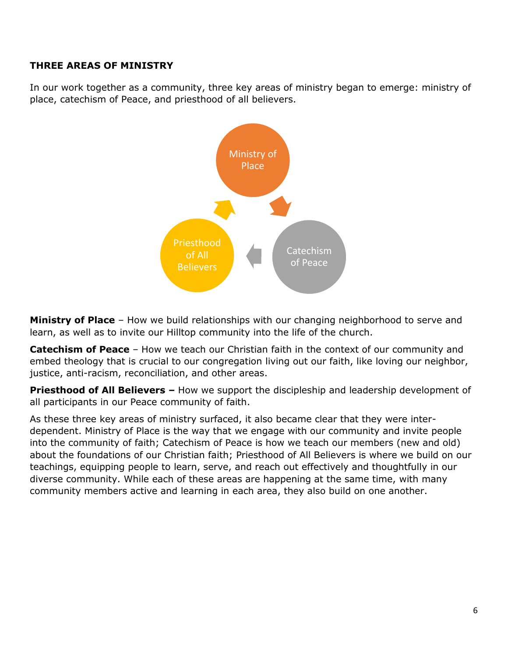## **THREE AREAS OF MINISTRY**

In our work together as a community, three key areas of ministry began to emerge: ministry of place, catechism of Peace, and priesthood of all believers.



**Ministry of Place** – How we build relationships with our changing neighborhood to serve and learn, as well as to invite our Hilltop community into the life of the church.

**Catechism of Peace** – How we teach our Christian faith in the context of our community and embed theology that is crucial to our congregation living out our faith, like loving our neighbor, justice, anti-racism, reconciliation, and other areas.

**Priesthood of All Believers –** How we support the discipleship and leadership development of all participants in our Peace community of faith.

As these three key areas of ministry surfaced, it also became clear that they were interdependent. Ministry of Place is the way that we engage with our community and invite people into the community of faith; Catechism of Peace is how we teach our members (new and old) about the foundations of our Christian faith; Priesthood of All Believers is where we build on our teachings, equipping people to learn, serve, and reach out effectively and thoughtfully in our diverse community. While each of these areas are happening at the same time, with many community members active and learning in each area, they also build on one another.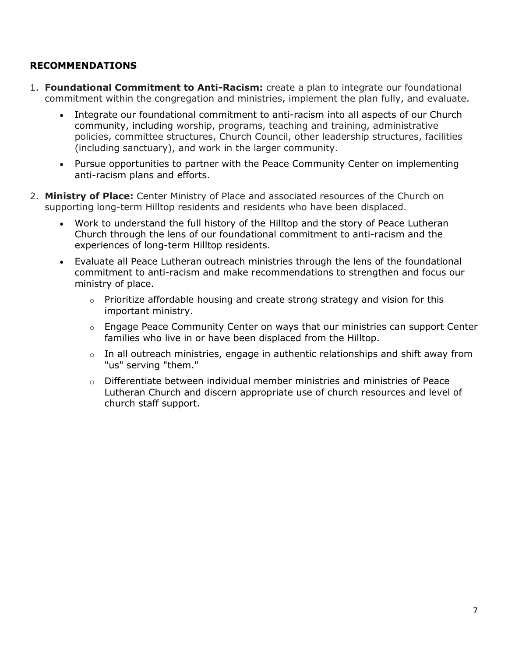## **RECOMMENDATIONS**

- 1. **Foundational Commitment to Anti-Racism:** create a plan to integrate our foundational commitment within the congregation and ministries, implement the plan fully, and evaluate.
	- Integrate our foundational commitment to anti-racism into all aspects of our Church community, including worship, programs, teaching and training, administrative policies, committee structures, Church Council, other leadership structures, facilities (including sanctuary), and work in the larger community.
	- Pursue opportunities to partner with the Peace Community Center on implementing anti-racism plans and efforts.
- 2. **Ministry of Place:** Center Ministry of Place and associated resources of the Church on supporting long-term Hilltop residents and residents who have been displaced.
	- Work to understand the full history of the Hilltop and the story of Peace Lutheran Church through the lens of our foundational commitment to anti-racism and the experiences of long-term Hilltop residents.
	- Evaluate all Peace Lutheran outreach ministries through the lens of the foundational commitment to anti-racism and make recommendations to strengthen and focus our ministry of place.
		- $\circ$  Prioritize affordable housing and create strong strategy and vision for this important ministry.
		- o Engage Peace Community Center on ways that our ministries can support Center families who live in or have been displaced from the Hilltop.
		- $\circ$  In all outreach ministries, engage in authentic relationships and shift away from "us" serving "them."
		- $\circ$  Differentiate between individual member ministries and ministries of Peace Lutheran Church and discern appropriate use of church resources and level of church staff support.